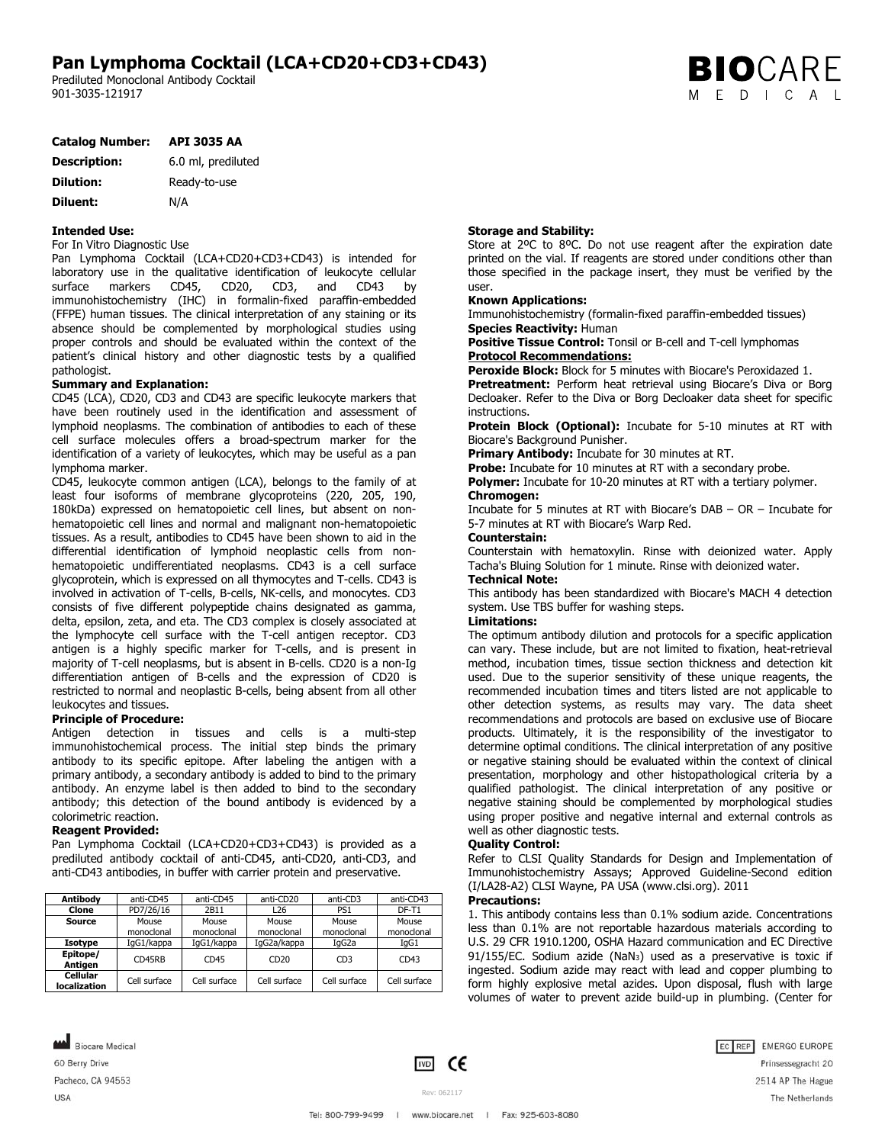# **Pan Lymphoma Cocktail (LCA+CD20+CD3+CD43)**

Prediluted Monoclonal Antibody Cocktail 901-3035-121917

|  | <b>BIO</b> CARE |  |  |
|--|-----------------|--|--|
|  | M E D I C A L   |  |  |

| <b>Catalog Number:</b> | <b>API 3035 AA</b> |
|------------------------|--------------------|
|------------------------|--------------------|

| <b>Description:</b> | 6.0 ml, prediluted |
|---------------------|--------------------|
| <b>Dilution:</b>    | Ready-to-use       |
| Diluent:            | N/A                |

# **Intended Use:**

For In Vitro Diagnostic Use

Pan Lymphoma Cocktail (LCA+CD20+CD3+CD43) is intended for laboratory use in the qualitative identification of leukocyte cellular surface markers CD45, CD20, CD3, and CD43 by immunohistochemistry (IHC) in formalin-fixed paraffin-embedded (FFPE) human tissues. The clinical interpretation of any staining or its absence should be complemented by morphological studies using proper controls and should be evaluated within the context of the patient's clinical history and other diagnostic tests by a qualified pathologist.

### **Summary and Explanation:**

CD45 (LCA), CD20, CD3 and CD43 are specific leukocyte markers that have been routinely used in the identification and assessment of lymphoid neoplasms. The combination of antibodies to each of these cell surface molecules offers a broad-spectrum marker for the identification of a variety of leukocytes, which may be useful as a pan lymphoma marker.

CD45, leukocyte common antigen (LCA), belongs to the family of at least four isoforms of membrane glycoproteins (220, 205, 190, 180kDa) expressed on hematopoietic cell lines, but absent on nonhematopoietic cell lines and normal and malignant non-hematopoietic tissues. As a result, antibodies to CD45 have been shown to aid in the differential identification of lymphoid neoplastic cells from nonhematopoietic undifferentiated neoplasms. CD43 is a cell surface glycoprotein, which is expressed on all thymocytes and T-cells. CD43 is involved in activation of T-cells, B-cells, NK-cells, and monocytes. CD3 consists of five different polypeptide chains designated as gamma, delta, epsilon, zeta, and eta. The CD3 complex is closely associated at the lymphocyte cell surface with the T-cell antigen receptor. CD3 antigen is a highly specific marker for T-cells, and is present in majority of T-cell neoplasms, but is absent in B-cells. CD20 is a non-Ig differentiation antigen of B-cells and the expression of CD20 is restricted to normal and neoplastic B-cells, being absent from all other leukocytes and tissues.

### **Principle of Procedure:**

Antigen detection in tissues and cells is a multi-step immunohistochemical process. The initial step binds the primary antibody to its specific epitope. After labeling the antigen with a primary antibody, a secondary antibody is added to bind to the primary antibody. An enzyme label is then added to bind to the secondary antibody; this detection of the bound antibody is evidenced by a colorimetric reaction.

### **Reagent Provided:**

Pan Lymphoma Cocktail (LCA+CD20+CD3+CD43) is provided as a prediluted antibody cocktail of anti-CD45, anti-CD20, anti-CD3, and anti-CD43 antibodies, in buffer with carrier protein and preservative.

| Antibody                 | anti-CD45           | anti-CD45           | anti-CD20           | anti-CD3            | anti-CD43           |
|--------------------------|---------------------|---------------------|---------------------|---------------------|---------------------|
| Clone                    | PD7/26/16           | 2B11                | L26                 | PS <sub>1</sub>     | $DF-T1$             |
| Source                   | Mouse<br>monoclonal | Mouse<br>monoclonal | Mouse<br>monoclonal | Mouse<br>monoclonal | Mouse<br>monoclonal |
| Isotype                  | IqG1/kappa          | IqG1/kappa          | IqG2a/kappa         | IaG2a               | IgG1                |
| Epitope/<br>Antigen      | CD45RB              | CD45                | CD20                | CD3                 | CD43                |
| Cellular<br>localization | Cell surface        | Cell surface        | Cell surface        | Cell surface        | Cell surface        |

# **Storage and Stability:**

Store at 2ºC to 8ºC. Do not use reagent after the expiration date printed on the vial. If reagents are stored under conditions other than those specified in the package insert, they must be verified by the user.

# **Known Applications:**

Immunohistochemistry (formalin-fixed paraffin-embedded tissues) **Species Reactivity:** Human

**Positive Tissue Control:** Tonsil or B-cell and T-cell lymphomas **Protocol Recommendations:** 

**Peroxide Block:** Block for 5 minutes with Biocare's Peroxidazed 1.

**Pretreatment:** Perform heat retrieval using Biocare's Diva or Borg Decloaker. Refer to the Diva or Borg Decloaker data sheet for specific instructions.

**Protein Block (Optional):** Incubate for 5-10 minutes at RT with Biocare's Background Punisher.

**Primary Antibody:** Incubate for 30 minutes at RT.

Probe: Incubate for 10 minutes at RT with a secondary probe.

**Polymer:** Incubate for 10-20 minutes at RT with a tertiary polymer. **Chromogen:** 

Incubate for 5 minutes at RT with Biocare's DAB – OR – Incubate for 5-7 minutes at RT with Biocare's Warp Red.

### **Counterstain:**

Counterstain with hematoxylin. Rinse with deionized water. Apply Tacha's Bluing Solution for 1 minute. Rinse with deionized water.

# **Technical Note:**

This antibody has been standardized with Biocare's MACH 4 detection system. Use TBS buffer for washing steps.

### **Limitations:**

The optimum antibody dilution and protocols for a specific application can vary. These include, but are not limited to fixation, heat-retrieval method, incubation times, tissue section thickness and detection kit used. Due to the superior sensitivity of these unique reagents, the recommended incubation times and titers listed are not applicable to other detection systems, as results may vary. The data sheet recommendations and protocols are based on exclusive use of Biocare products. Ultimately, it is the responsibility of the investigator to determine optimal conditions. The clinical interpretation of any positive or negative staining should be evaluated within the context of clinical presentation, morphology and other histopathological criteria by a qualified pathologist. The clinical interpretation of any positive or negative staining should be complemented by morphological studies using proper positive and negative internal and external controls as well as other diagnostic tests.

### **Quality Control:**

Refer to CLSI Quality Standards for Design and Implementation of Immunohistochemistry Assays; Approved Guideline-Second edition (I/LA28-A2) CLSI Wayne, PA USA (www.clsi.org). 2011

### **Precautions:**

1. This antibody contains less than 0.1% sodium azide. Concentrations less than 0.1% are not reportable hazardous materials according to U.S. 29 CFR 1910.1200, OSHA Hazard communication and EC Directive 91/155/EC. Sodium azide (NaN3) used as a preservative is toxic if ingested. Sodium azide may react with lead and copper plumbing to form highly explosive metal azides. Upon disposal, flush with large volumes of water to prevent azide build-up in plumbing. (Center for

Biocare Medical 60 Berry Drive Pacheco, CA 94553 USA